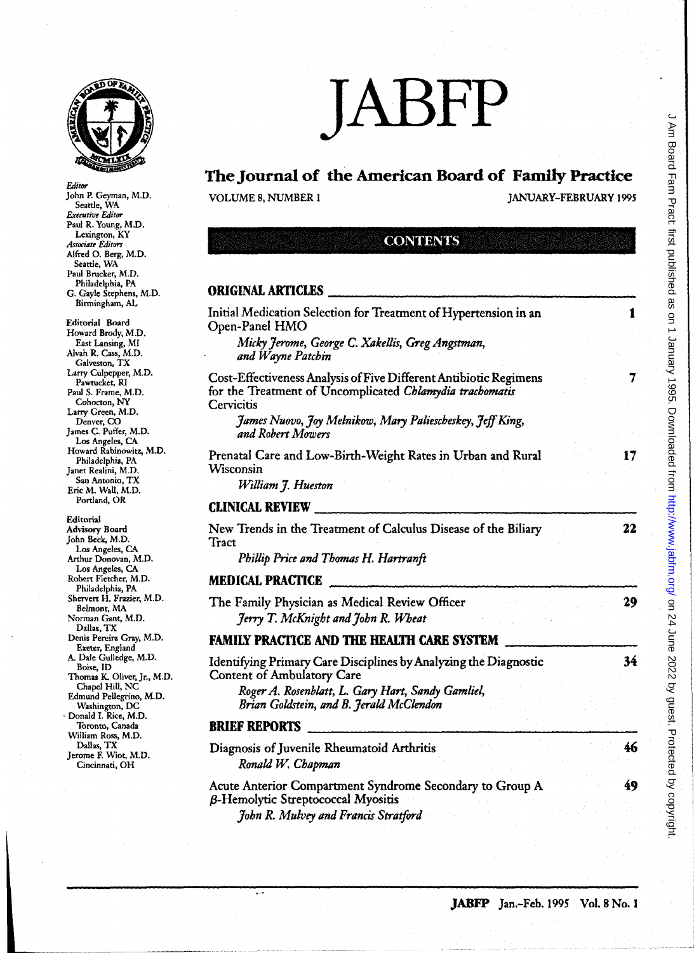

John P. Geyman, M.D. Seattle, WA *Executive Editur*  Paul R. Young, M.D. Lexington, KY *Associate Edittm*  Alfred O. Berg, M.D. Seattle, WA Paul Brucker, M.D. Philadelphia, PA

Editor

# JABFP

## The Journal of the American Board of Family Practice

VOLUME 8, NUMBER 1 JANUARY-FEBRUARY 1995

## **CONTENTS**

#### ORIGINAL ARTICLES

 $\overline{\phantom{a}}$ 

| G. Gayle Stephens, M.D.                                                                                                                                                                                                                                                                                                                                                                                                   | OKIGINAL AKTICLES                                                                                                                                                                                                                  |
|---------------------------------------------------------------------------------------------------------------------------------------------------------------------------------------------------------------------------------------------------------------------------------------------------------------------------------------------------------------------------------------------------------------------------|------------------------------------------------------------------------------------------------------------------------------------------------------------------------------------------------------------------------------------|
| Birmingham, AL<br><b>Editorial Board</b><br>Howard Brody, M.D.<br>East Lansing, MI<br>Alvah R. Cass, M.D.<br>Galveston, TX<br>Larry Culpepper, M.D.<br>Pawtucket, RI<br>Paul S. Frame, M.D.<br>Cohocton, NY<br>Larry Green, M.D.<br>Denver, CO<br>James C. Puffer, M.D.<br>Los Angeles, CA<br>Howard Rabinowitz, M.D.<br>Philadelphia, PA<br>Janet Realini, M.D.<br>San Antonio, TX<br>Eric M. Wall, M.D.<br>Portland, OR | Initial Medication Selection for Treatment of Hypertension in an<br>1<br>Open-Panel HMO                                                                                                                                            |
|                                                                                                                                                                                                                                                                                                                                                                                                                           | Micky Jerome, George C. Xakellis, Greg Angstman,<br>and Wayne Patchin                                                                                                                                                              |
|                                                                                                                                                                                                                                                                                                                                                                                                                           | Cost-Effectiveness Analysis of Five Different Antibiotic Regimens<br>7<br>for the Treatment of Uncomplicated Chlamydia trachomatis<br>Cervicitis<br>James Nuovo, Joy Melnikow, Mary Paliescheskey, Jeff King,<br>and Robert Mowers |
|                                                                                                                                                                                                                                                                                                                                                                                                                           | Prenatal Care and Low-Birth-Weight Rates in Urban and Rural<br>17<br>Wisconsin<br>William J. Hueston                                                                                                                               |
|                                                                                                                                                                                                                                                                                                                                                                                                                           | <b>CLINICAL REVIEW</b>                                                                                                                                                                                                             |
| Editorial<br>Advisory Board<br>John Beck, M.D.<br>Los Angeles, CA<br>Arthur Donovan, M.D.<br>Los Angeles, CA                                                                                                                                                                                                                                                                                                              | New Trends in the Treatment of Calculus Disease of the Biliary<br>22<br>Tract<br>Phillip Price and Thomas H. Hartranft                                                                                                             |
| Robert Fletcher, M.D.<br>Philadelphia, PA                                                                                                                                                                                                                                                                                                                                                                                 | <b>MEDICAL PRACTICE</b>                                                                                                                                                                                                            |
| Shervert H. Frazier, M.D.<br>Belmont, MA<br>Norman Gant, M.D.                                                                                                                                                                                                                                                                                                                                                             | The Family Physician as Medical Review Officer<br>29<br>Jerry T. McKnight and John R. Wheat                                                                                                                                        |
| Dallas, TX<br>Denis Pereira Gray, M.D.<br>Exeter, England                                                                                                                                                                                                                                                                                                                                                                 | <b>FAMILY PRACTICE AND THE HEALTH CARE SYSTEM</b>                                                                                                                                                                                  |
| A. Dale Gulledge, M.D.<br>Boise, ID<br>Thomas K. Oliver, Jr., M.D.<br>Chapel Hill, NC                                                                                                                                                                                                                                                                                                                                     | 34<br>Identifying Primary Care Disciplines by Analyzing the Diagnostic<br><b>Content of Ambulatory Care</b>                                                                                                                        |
| Edmund Pellegrino, M.D.<br>Washington, DC                                                                                                                                                                                                                                                                                                                                                                                 | Roger A. Rosenblatt, L. Gary Hart, Sandy Gamliel,<br>Brian Goldstein, and B. Jerald McClendon                                                                                                                                      |
| Donald I. Rice, M.D.<br>Toronto, Canada<br>William Ross, M.D.<br>Dallas, TX<br>Jerome F. Wiot, M.D.<br>Cincinnati, OH                                                                                                                                                                                                                                                                                                     | <b>BRIEF REPORTS</b>                                                                                                                                                                                                               |
|                                                                                                                                                                                                                                                                                                                                                                                                                           | 46<br>Diagnosis of Juvenile Rheumatoid Arthritis<br>Ronald W. Chapman                                                                                                                                                              |
|                                                                                                                                                                                                                                                                                                                                                                                                                           | 49<br>Acute Anterior Compartment Syndrome Secondary to Group A<br><b>β-Hemolytic Streptococcal Myositis</b>                                                                                                                        |
|                                                                                                                                                                                                                                                                                                                                                                                                                           | John R. Mulvey and Francis Stratford                                                                                                                                                                                               |